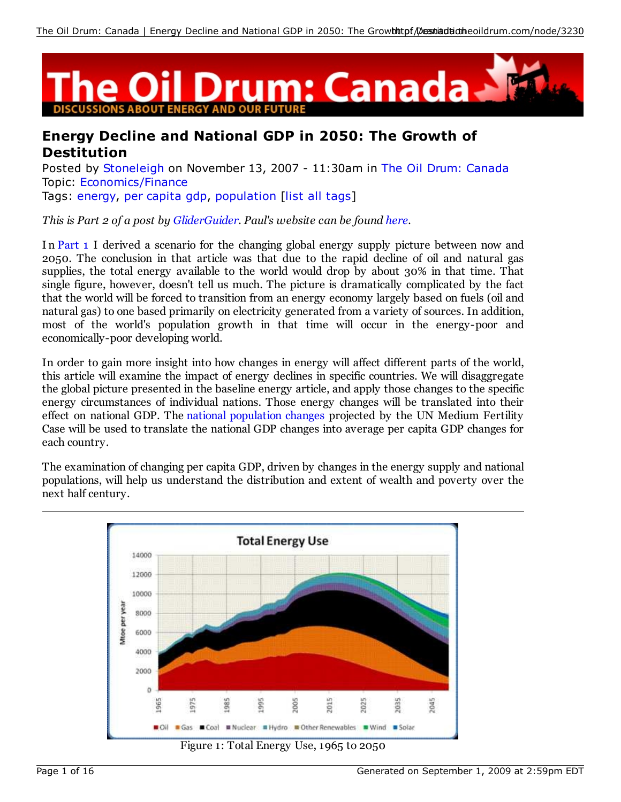

# **Energy Decline and National GDP in 2050: The Growth of Destitution**

Posted by Stoneleigh on November 13, 2007 - 11:30am in The Oil Drum: Canada Topic: Economics/Finance Tags: energy, per capita gdp, population [list all tags]

*This is Part 2 of a post by GliderGuider. Paul's website can be found here.*

In Part 1 I derived a scenario for the changing global energy supply picture between now and 2050. The conclusion in that article was that due to the rapid decline of oil and natural gas supplies, the total energy available to the world would drop by about 30% in that time. That single figure, however, doesn't tell us much. The picture is dramatically complicated by the fact that the world will be forced to transition from an energy economy largely based on fuels (oil and natural gas) to one based primarily on electricity generated from a variety of sources. In addition, most of the world's population growth in that time will occur in the energy-poor and economically-poor developing world.

In order to gain more insight into how changes in energy will affect different parts of the world, this article will examine the impact of energy declines in specific countries. We will disaggregate the global picture presented in the baseline energy article, and apply those changes to the specific energy circumstances of individual nations. Those energy changes will be translated into their effect on national GDP. The national population changes projected by the UN Medium Fertility Case will be used to translate the national GDP changes into average per capita GDP changes for each country.

The examination of changing per capita GDP, driven by changes in the energy supply and national populations, will help us understand the distribution and extent of wealth and poverty over the next half century.



Figure 1: Total Energy Use, 1965 to 2050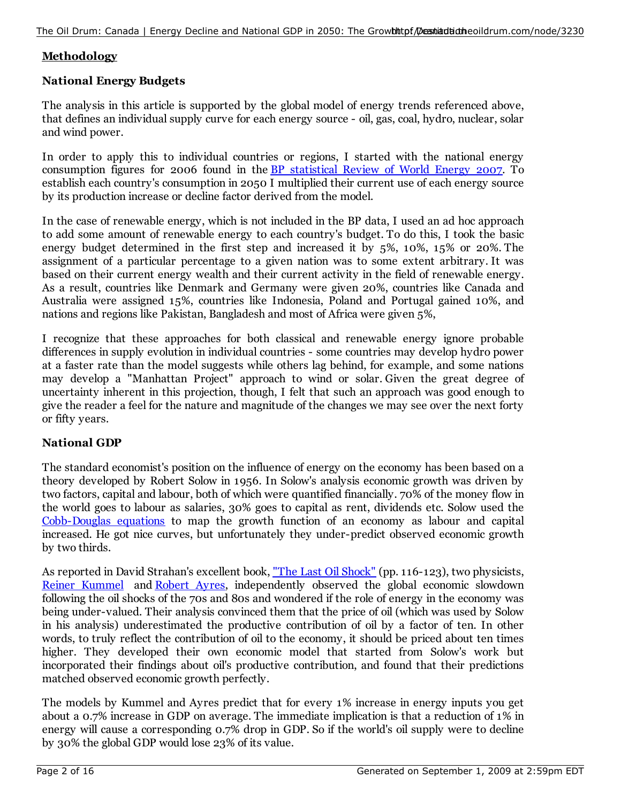## **Methodology**

### **National Energy Budgets**

The analysis in this article is supported by the global model of energy trends referenced above, that defines an individual supply curve for each energy source - oil, gas, coal, hydro, nuclear, solar and wind power.

In order to apply this to individual countries or regions, I started with the national energy consumption figures for 2006 found in the BP statistical Review of World Energy 2007. To establish each country's consumption in 2050 I multiplied their current use of each energy source by its production increase or decline factor derived from the model.

In the case of renewable energy, which is not included in the BP data, I used an ad hoc approach to add some amount of renewable energy to each country's budget. To do this, I took the basic energy budget determined in the first step and increased it by 5%, 10%, 15% or 20%. The assignment of a particular percentage to a given nation was to some extent arbitrary. It was based on their current energy wealth and their current activity in the field of renewable energy. As a result, countries like Denmark and Germany were given 20%, countries like Canada and Australia were assigned 15%, countries like Indonesia, Poland and Portugal gained 10%, and nations and regions like Pakistan, Bangladesh and most of Africa were given 5%,

I recognize that these approaches for both classical and renewable energy ignore probable differences in supply evolution in individual countries - some countries may develop hydro power at a faster rate than the model suggests while others lag behind, for example, and some nations may develop a "Manhattan Project" approach to wind or solar. Given the great degree of uncertainty inherent in this projection, though, I felt that such an approach was good enough to give the reader a feel for the nature and magnitude of the changes we may see over the next forty or fifty years.

## **National GDP**

The standard economist's position on the influence of energy on the economy has been based on a theory developed by Robert Solow in 1956. In Solow's analysis economic growth was driven by two factors, capital and labour, both of which were quantified financially. 70% of the money flow in the world goes to labour as salaries, 30% goes to capital as rent, dividends etc. Solow used the Cobb-Douglas equations to map the growth function of an economy as labour and capital increased. He got nice curves, but unfortunately they under-predict observed economic growth by two thirds.

As reported in David Strahan's excellent book, "The Last Oil Shock" (pp. 116-123), two physicists, Reiner Kummel and Robert Ayres, independently observed the global economic slowdown following the oil shocks of the 70s and 80s and wondered if the role of energy in the economy was being under-valued. Their analysis convinced them that the price of oil (which was used by Solow in his analysis) underestimated the productive contribution of oil by a factor of ten. In other words, to truly reflect the contribution of oil to the economy, it should be priced about ten times higher. They developed their own economic model that started from Solow's work but incorporated their findings about oil's productive contribution, and found that their predictions matched observed economic growth perfectly.

The models by Kummel and Ayres predict that for every 1% increase in energy inputs you get about a 0.7% increase in GDP on average. The immediate implication is that a reduction of 1% in energy will cause a corresponding 0.7% drop in GDP. So if the world's oil supply were to decline by 30% the global GDP would lose 23% of its value.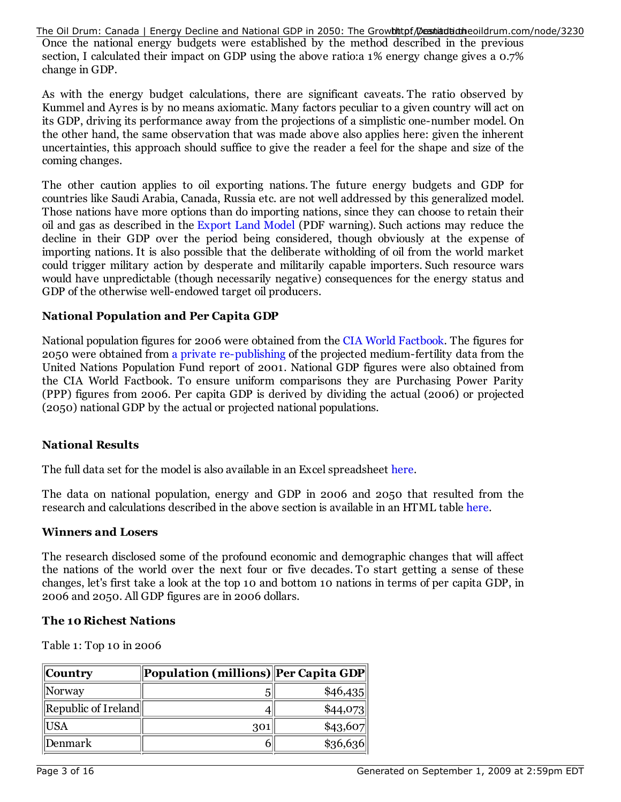The Oil Drum: Canada | Energy Decline and National GDP in 2050: The Growhttpf Destiantiatheoildrum.com/node/3230

Once the national energy budgets were established by the method described in the previous section, I calculated their impact on GDP using the above ratio:a 1% energy change gives a 0.7% change in GDP.

As with the energy budget calculations, there are significant caveats. The ratio observed by Kummel and Ayres is by no means axiomatic. Many factors peculiar to a given country will act on its GDP, driving its performance away from the projections of a simplistic one-number model. On the other hand, the same observation that was made above also applies here: given the inherent uncertainties, this approach should suffice to give the reader a feel for the shape and size of the coming changes.

The other caution applies to oil exporting nations. The future energy budgets and GDP for countries like Saudi Arabia, Canada, Russia etc. are not well addressed by this generalized model. Those nations have more options than do importing nations, since they can choose to retain their oil and gas as described in the Export Land Model (PDF warning). Such actions may reduce the decline in their GDP over the period being considered, though obviously at the expense of importing nations. It is also possible that the deliberate witholding of oil from the world market could trigger military action by desperate and militarily capable importers. Such resource wars would have unpredictable (though necessarily negative) consequences for the energy status and GDP of the otherwise well-endowed target oil producers.

### **National Population and Per Capita GDP**

National population figures for 2006 were obtained from the CIA World Factbook. The figures for 2050 were obtained from a private re-publishing of the projected medium-fertility data from the United Nations Population Fund report of 2001. National GDP figures were also obtained from the CIA World Factbook. To ensure uniform comparisons they are Purchasing Power Parity (PPP) figures from 2006. Per capita GDP is derived by dividing the actual (2006) or projected (2050) national GDP by the actual or projected national populations.

#### **National Results**

The full data set for the model is also available in an Excel spreadsheet here.

The data on national population, energy and GDP in 2006 and 2050 that resulted from the research and calculations described in the above section is available in an HTML table here.

#### **Winners and Losers**

The research disclosed some of the profound economic and demographic changes that will affect the nations of the world over the next four or five decades. To start getting a sense of these changes, let's first take a look at the top 10 and bottom 10 nations in terms of per capita GDP, in 2006 and 2050. All GDP figures are in 2006 dollars.

#### **The 10 Richest Nations**

Table 1: Top 10 in 2006

| $\ $ Country                                   | $\left\  \text{Population (millions)} \right\  \text{Per Capita GDP} \right\ $ |            |
|------------------------------------------------|--------------------------------------------------------------------------------|------------|
| $\parallel$ Norway                             | 5                                                                              | \$46,435   |
| $\left\Vert$ Republic of Ireland $\right\Vert$ |                                                                                | \$44,073   |
| USA                                            | 301                                                                            | \$43,607   |
| Denmark                                        |                                                                                | $\$36,636$ |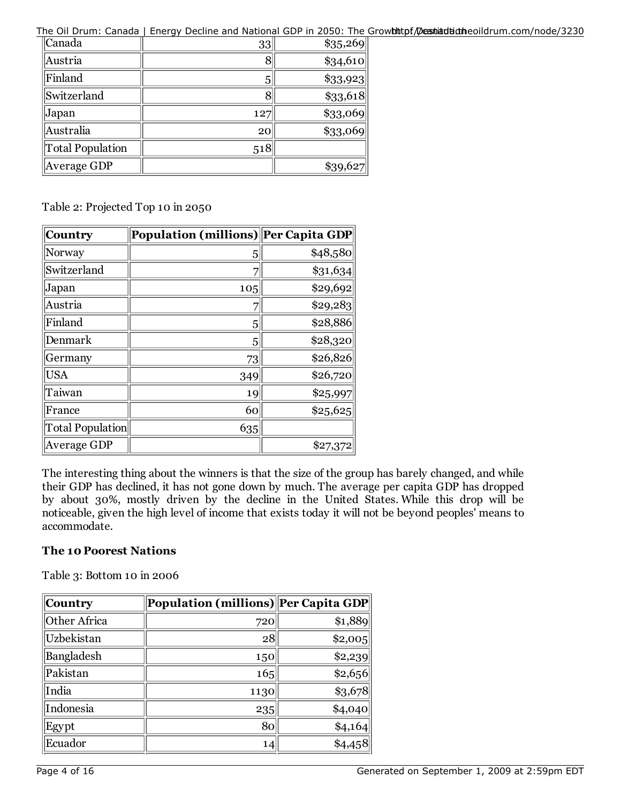The Oil Drum: Canada | Energy Decline and National GDP in 2050: The Growhthtpf Dessitadiotheoildrum.com/node/3230

| Canada           | $33$            | $\$35,269$ |
|------------------|-----------------|------------|
| Austria          | 8               | $\$34,610$ |
| Finland          | 5               | \$33,923   |
| Switzerland      | 8               | $\$33,618$ |
| Japan            | 127             | $\$33,069$ |
| Australia        | 20 <sub>l</sub> | $\$33,069$ |
| Total Population | 518             |            |
| Average GDP      |                 | \$39,627   |

Table 2: Projected Top 10 in 2050

| Country          | Population (millions) Per Capita GDP |          |
|------------------|--------------------------------------|----------|
| Norway           | 5                                    | \$48,580 |
| Switzerland      | 7                                    | \$31,634 |
| Japan            | 105                                  | \$29,692 |
| Austria          |                                      | \$29,283 |
| Finland          | 5                                    | \$28,886 |
| Denmark          | 5                                    | \$28,320 |
| Germany          | 73                                   | \$26,826 |
| <b>USA</b>       | 349                                  | \$26,720 |
| Taiwan           | 19                                   | \$25,997 |
| France           | 60                                   | \$25,625 |
| Total Population | 635                                  |          |
| Average GDP      |                                      | \$27,372 |

The interesting thing about the winners is that the size of the group has barely changed, and while their GDP has declined, it has not gone down by much. The average per capita GDP has dropped by about 30%, mostly driven by the decline in the United States. While this drop will be noticeable, given the high level of income that exists today it will not be beyond peoples' means to accommodate.

## **The 10 Poorest Nations**

Table 3: Bottom 10 in 2006

| Country      | Population (millions)  Per Capita GDP |         |
|--------------|---------------------------------------|---------|
| Other Africa | 720                                   | \$1,889 |
| Uzbekistan   | 28                                    | \$2,005 |
| Bangladesh   | 150                                   | \$2,239 |
| Pakistan     | 165                                   | \$2,656 |
| India        | 1130                                  | 33,678  |
| Indonesia    | 235                                   | \$4,040 |
| Egypt        | 80                                    | \$4,164 |
| Ecuador      | 14                                    | \$4,458 |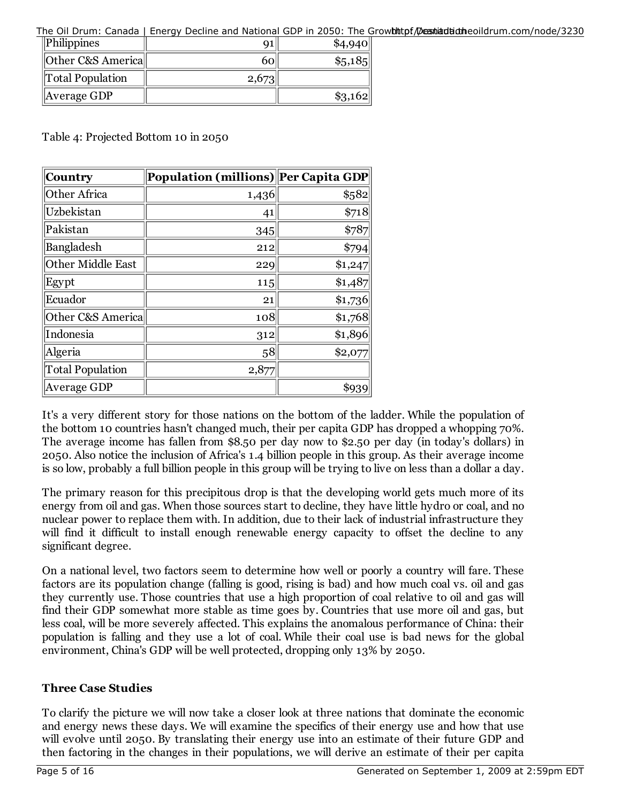The Oil Drum: Canada | Energy Decline and National GDP in 2050: The Growhttpf/Deestiatudineoildrum.com/node/3230

| $\ $ Philippines  |       | \$4,940   |
|-------------------|-------|-----------|
| Other C&S America | 601   | $\$5,185$ |
| Total Population  | 2,673 |           |
| Average GDP       |       | 3,162     |

Table 4: Projected Bottom 10 in 2050

| Country                 | Population (millions) Per Capita GDP |         |
|-------------------------|--------------------------------------|---------|
| Other Africa            | 1,436                                | \$582   |
| Uzbekistan              | 41                                   | \$718   |
| Pakistan                | 345                                  | \$787   |
| Bangladesh              | 212                                  | \$794   |
| Other Middle East       | 229                                  | \$1,247 |
| Egypt                   | 115                                  | \$1,487 |
| Ecuador                 | 21                                   | \$1,736 |
| Other C&S America       | 108                                  | \$1,768 |
| Indonesia               | 312                                  | \$1,896 |
| Algeria                 | 58                                   | \$2,077 |
| <b>Total Population</b> | 2,877                                |         |
| Average GDP             |                                      | \$939   |

It's a very different story for those nations on the bottom of the ladder. While the population of the bottom 10 countries hasn't changed much, their per capita GDP has dropped a whopping 70%. The average income has fallen from \$8.50 per day now to \$2.50 per day (in today's dollars) in 2050. Also notice the inclusion of Africa's 1.4 billion people in this group. As their average income is so low, probably a full billion people in this group will be trying to live on less than a dollar a day.

The primary reason for this precipitous drop is that the developing world gets much more of its energy from oil and gas. When those sources start to decline, they have little hydro or coal, and no nuclear power to replace them with. In addition, due to their lack of industrial infrastructure they will find it difficult to install enough renewable energy capacity to offset the decline to any significant degree.

On a national level, two factors seem to determine how well or poorly a country will fare. These factors are its population change (falling is good, rising is bad) and how much coal vs. oil and gas they currently use. Those countries that use a high proportion of coal relative to oil and gas will find their GDP somewhat more stable as time goes by. Countries that use more oil and gas, but less coal, will be more severely affected. This explains the anomalous performance of China: their population is falling and they use a lot of coal. While their coal use is bad news for the global environment, China's GDP will be well protected, dropping only 13% by 2050.

## **Three Case Studies**

To clarify the picture we will now take a closer look at three nations that dominate the economic and energy news these days. We will examine the specifics of their energy use and how that use will evolve until 2050. By translating their energy use into an estimate of their future GDP and then factoring in the changes in their populations, we will derive an estimate of their per capita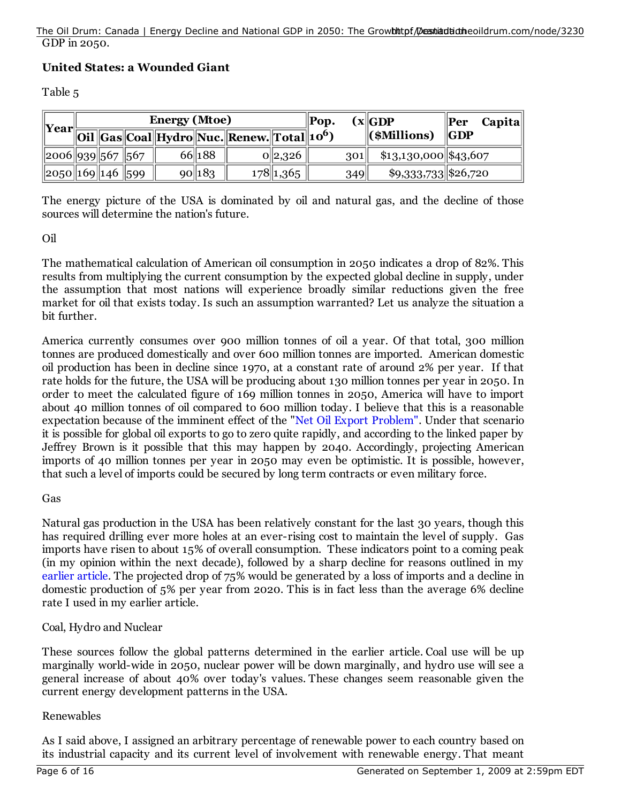#### GDP in 2050. The Oil Drum: Canada | Energy Decline and National GDP in 2050: The Growhttpf/Destiandtiatheoildrum.com/node/3230

## **United States: a Wounded Giant**

Table 5

| Year                 | <b>Energy (Mtoe)</b> |  | $\ $ Pop. |           | (x  GDP                                                              | $Capital$<br>$\  \textbf{Per}$ |  |     |                        |                   |
|----------------------|----------------------|--|-----------|-----------|----------------------------------------------------------------------|--------------------------------|--|-----|------------------------|-------------------|
|                      |                      |  |           |           | Oil   Gas   Coal   Hydro   Nuc.   Renew.   Total   10 <sup>6</sup> ) |                                |  |     | (\$Millions)           | $\ {\rm \bf GDP}$ |
| 2006  939  567   567 |                      |  |           | 66 188    |                                                                      | 0  2,326                       |  | 301 | $$13,130,000$ \$43,607 |                   |
| 2050  169  146   599 |                      |  |           | $90\ 183$ |                                                                      | $178$   1,365                  |  | 349 | \$9,333,733  \$26,720  |                   |

The energy picture of the USA is dominated by oil and natural gas, and the decline of those sources will determine the nation's future.

#### Oil

The mathematical calculation of American oil consumption in 2050 indicates a drop of 82%. This results from multiplying the current consumption by the expected global decline in supply, under the assumption that most nations will experience broadly similar reductions given the free market for oil that exists today. Is such an assumption warranted? Let us analyze the situation a bit further.

America currently consumes over 900 million tonnes of oil a year. Of that total, 300 million tonnes are produced domestically and over 600 million tonnes are imported. American domestic oil production has been in decline since 1970, at a constant rate of around 2% per year. If that rate holds for the future, the USA will be producing about 130 million tonnes per year in 2050. In order to meet the calculated figure of 169 million tonnes in 2050, America will have to import about 40 million tonnes of oil compared to 600 million today. I believe that this is a reasonable expectation because of the imminent effect of the "Net Oil Export Problem". Under that scenario it is possible for global oil exports to go to zero quite rapidly, and according to the linked paper by Jeffrey Brown is it possible that this may happen by 2040. Accordingly, projecting American imports of 40 million tonnes per year in 2050 may even be optimistic. It is possible, however, that such a level of imports could be secured by long term contracts or even military force.

#### Gas

Natural gas production in the USA has been relatively constant for the last 30 years, though this has required drilling ever more holes at an ever-rising cost to maintain the level of supply. Gas imports have risen to about 15% of overall consumption. These indicators point to a coming peak (in my opinion within the next decade), followed by a sharp decline for reasons outlined in my earlier article. The projected drop of 75% would be generated by a loss of imports and a decline in domestic production of 5% per year from 2020. This is in fact less than the average 6% decline rate I used in my earlier article.

## Coal, Hydro and Nuclear

These sources follow the global patterns determined in the earlier article. Coal use will be up marginally world-wide in 2050, nuclear power will be down marginally, and hydro use will see a general increase of about 40% over today's values. These changes seem reasonable given the current energy development patterns in the USA.

## Renewables

As I said above, I assigned an arbitrary percentage of renewable power to each country based on its industrial capacity and its current level of involvement with renewable energy. That meant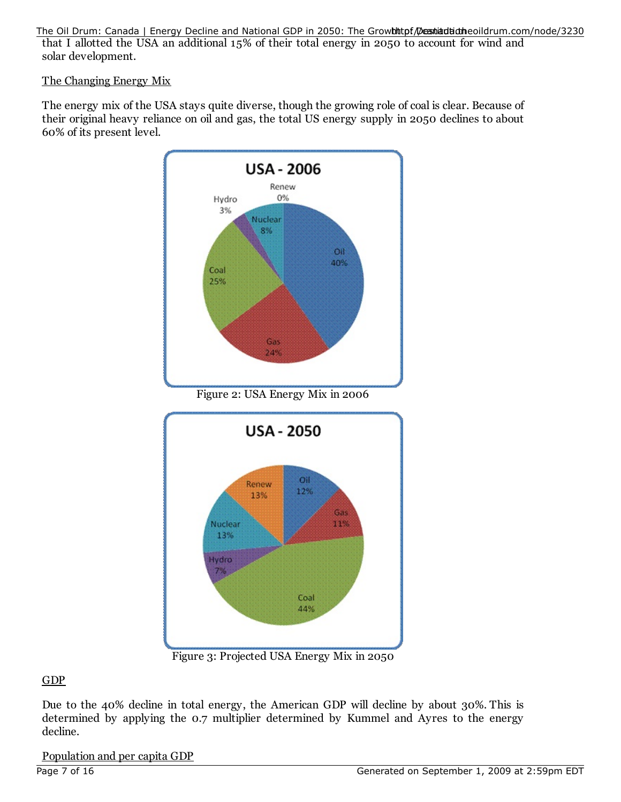that I allotted the USA an additional 15% of their total energy in 2050 to account for wind and solar development. The Oil Drum: Canada | Energy Decline and National GDP in 2050: The Growhthtpf Dessitadiotheoildrum.com/node/3230

The Changing Energy Mix

The energy mix of the USA stays quite diverse, though the growing role of coal is clear. Because of their original heavy reliance on oil and gas, the total US energy supply in 2050 declines to about 60% of its present level.



Figure 3: Projected USA Energy Mix in 2050

## GDP

Due to the 40% decline in total energy, the American GDP will decline by about 30%. This is determined by applying the 0.7 multiplier determined by Kummel and Ayres to the energy decline.

Population and per capita GDP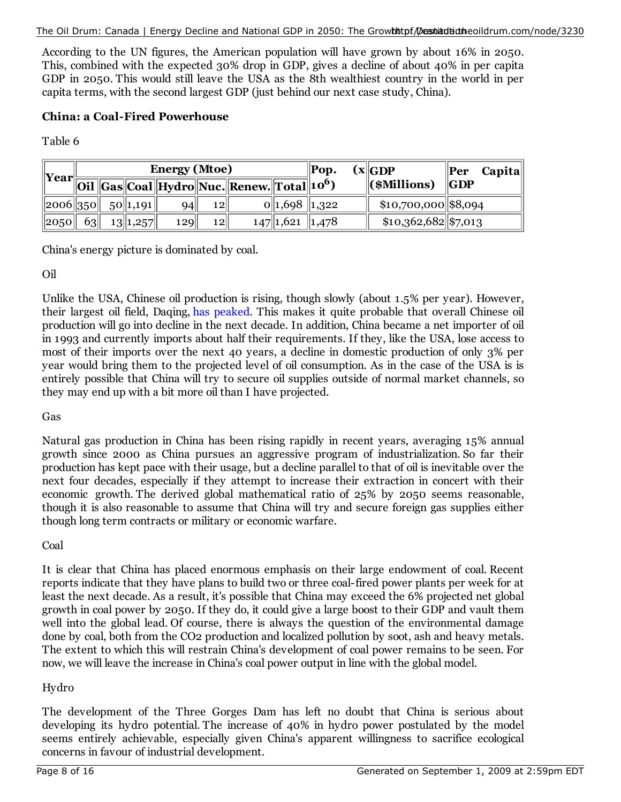#### The Oil Drum: Canada | Energy Decline and National GDP in 2050: The Growhttpf/Dessitaditionheoildrum.com/node/3230

According to the UN figures, the American population will have grown by about 16% in 2050. This, combined with the expected 30% drop in GDP, gives a decline of about 40% in per capita GDP in 2050. This would still leave the USA as the 8th wealthiest country in the world in per capita terms, with the second largest GDP (just behind our next case study, China).

## **China: a Coal-Fired Powerhouse**

Table 6

| $\ $ Year $\ $  | <b>Energy (Mtoe)</b> |  |               |     |    | $\ $ Pop.                                              | $\left( \mathbf{x} \middle  \mathbf{GDP} \right)$ | $\ $ <b>Per</b><br><b>Capita</b> |                       |         |
|-----------------|----------------------|--|---------------|-----|----|--------------------------------------------------------|---------------------------------------------------|----------------------------------|-----------------------|---------|
|                 |                      |  |               |     |    | Oil Gas Coal Hydro Nuc. Renew. Total 10 <sup>6</sup> ) |                                                   |                                  | $\ $ (\$Millions)     | $\ GDP$ |
| $\ 2006\ 350\ $ |                      |  | $50\ 1,191\ $ | 94  | 12 |                                                        | $0\parallel 1,698\parallel 1,322$                 |                                  | $$10,700,000$ \$8,094 |         |
| $\ 2050\ $      | 63                   |  | 13  1,257     | 129 | 12 |                                                        | $147$   1,621   1,478                             |                                  | $$10,362,682$ \$7,013 |         |

China's energy picture is dominated by coal.

## Oil

Unlike the USA, Chinese oil production is rising, though slowly (about 1.5% per year). However, their largest oil field, Daqing, has peaked. This makes it quite probable that overall Chinese oil production will go into decline in the next decade. In addition, China became a net importer of oil in 1993 and currently imports about half their requirements. If they, like the USA, lose access to most of their imports over the next 40 years, a decline in domestic production of only 3% per year would bring them to the projected level of oil consumption. As in the case of the USA is is entirely possible that China will try to secure oil supplies outside of normal market channels, so they may end up with a bit more oil than I have projected.

Gas

Natural gas production in China has been rising rapidly in recent years, averaging 15% annual growth since 2000 as China pursues an aggressive program of industrialization. So far their production has kept pace with their usage, but a decline parallel to that of oil is inevitable over the next four decades, especially if they attempt to increase their extraction in concert with their economic growth. The derived global mathematical ratio of 25% by 2050 seems reasonable, though it is also reasonable to assume that China will try and secure foreign gas supplies either though long term contracts or military or economic warfare.

Coal

It is clear that China has placed enormous emphasis on their large endowment of coal. Recent reports indicate that they have plans to build two or three coal-fired power plants per week for at least the next decade. As a result, it's possible that China may exceed the 6% projected net global growth in coal power by 2050. If they do, it could give a large boost to their GDP and vault them well into the global lead. Of course, there is always the question of the environmental damage done by coal, both from the CO2 production and localized pollution by soot, ash and heavy metals. The extent to which this will restrain China's development of coal power remains to be seen. For now, we will leave the increase in China's coal power output in line with the global model.

## Hydro

The development of the Three Gorges Dam has left no doubt that China is serious about developing its hydro potential. The increase of 40% in hydro power postulated by the model seems entirely achievable, especially given China's apparent willingness to sacrifice ecological concerns in favour of industrial development.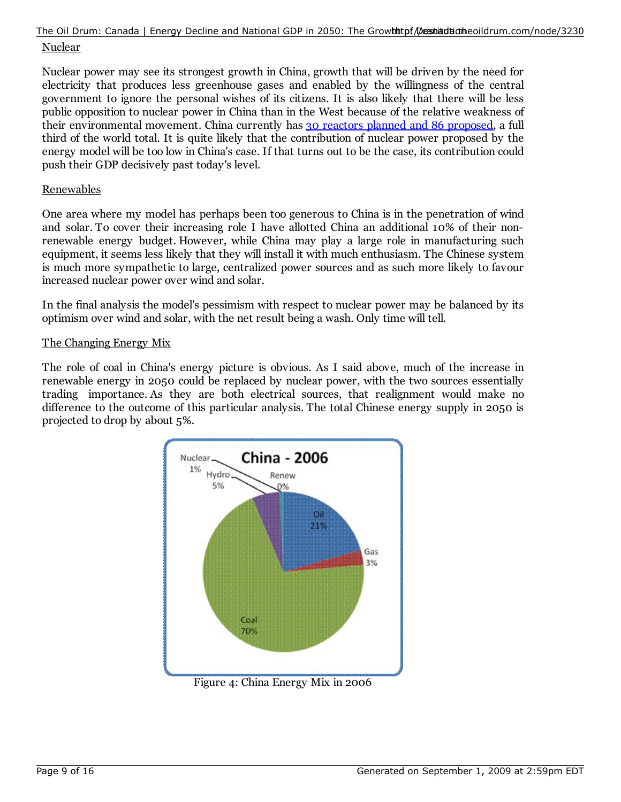#### Nuclear The Oil Drum: Canada | Energy Decline and National GDP in 2050: The Growbhtpf Dessintiatheoildrum.com/node/3230

Nuclear power may see its strongest growth in China, growth that will be driven by the need for electricity that produces less greenhouse gases and enabled by the willingness of the central government to ignore the personal wishes of its citizens. It is also likely that there will be less public opposition to nuclear power in China than in the West because of the relative weakness of their environmental movement. China currently has 30 reactors planned and 86 proposed, a full third of the world total. It is quite likely that the contribution of nuclear power proposed by the energy model will be too low in China's case. If that turns out to be the case, its contribution could push their GDP decisively past today's level.

### Renewables

One area where my model has perhaps been too generous to China is in the penetration of wind and solar. To cover their increasing role I have allotted China an additional 10% of their nonrenewable energy budget. However, while China may play a large role in manufacturing such equipment, it seems less likely that they will install it with much enthusiasm. The Chinese system is much more sympathetic to large, centralized power sources and as such more likely to favour increased nuclear power over wind and solar.

In the final analysis the model's pessimism with respect to nuclear power may be balanced by its optimism over wind and solar, with the net result being a wash. Only time will tell.

#### The Changing Energy Mix

The role of coal in China's energy picture is obvious. As I said above, much of the increase in renewable energy in 2050 could be replaced by nuclear power, with the two sources essentially trading importance. As they are both electrical sources, that realignment would make no difference to the outcome of this particular analysis. The total Chinese energy supply in 2050 is projected to drop by about 5%.

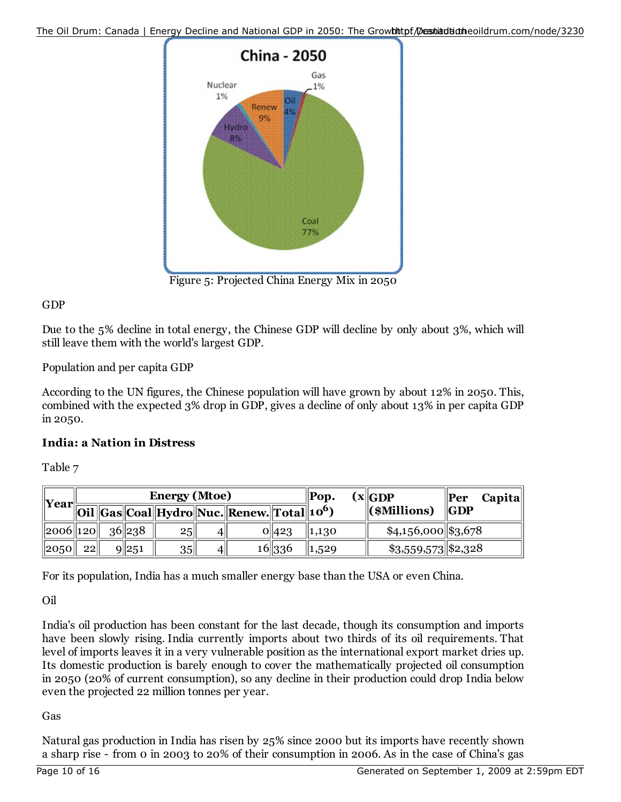

Figure 5: Projected China Energy Mix in 2050

## GDP

Due to the 5% decline in total energy, the Chinese GDP will decline by only about 3%, which will still leave them with the world's largest GDP.

Population and per capita GDP

According to the UN figures, the Chinese population will have grown by about 12% in 2050. This, combined with the expected 3% drop in GDP, gives a decline of only about 13% in per capita GDP in 2050.

## **India: a Nation in Distress**

Table 7

| $\  \text{Year}$ | <b>Energy (Mtoe)</b> |  |         |                 | Pop. |                                                                | (x  GDP) | <b>Capita</b><br>$\  \textbf{Per}$ |  |                      |                   |
|------------------|----------------------|--|---------|-----------------|------|----------------------------------------------------------------|----------|------------------------------------|--|----------------------|-------------------|
|                  |                      |  |         |                 |      | Oil   Gas  Coal  Hydro  Nuc.  Renew.  Total  10 <sup>6</sup> ) |          |                                    |  | $\ $ (\$Millions)    | $\ {\rm \bf GDP}$ |
| $\ 2006\ 120\ $  |                      |  | 36  238 | 25 <sub>1</sub> | 41   |                                                                | 0  423   | $\parallel 1, 1, 30$               |  | $$4,156,000$ \$3,678 |                   |
| $\ 2050\ $       | 22                   |  | 9 251   | $35$            | 41   |                                                                | 16 336   | 1,529                              |  | $$3,559,573$ \$2,328 |                   |

For its population, India has a much smaller energy base than the USA or even China.

Oil

India's oil production has been constant for the last decade, though its consumption and imports have been slowly rising. India currently imports about two thirds of its oil requirements. That level of imports leaves it in a very vulnerable position as the international export market dries up. Its domestic production is barely enough to cover the mathematically projected oil consumption in 2050 (20% of current consumption), so any decline in their production could drop India below even the projected 22 million tonnes per year.

## Gas

Natural gas production in India has risen by 25% since 2000 but its imports have recently shown a sharp rise - from 0 in 2003 to 20% of their consumption in 2006. As in the case of China's gas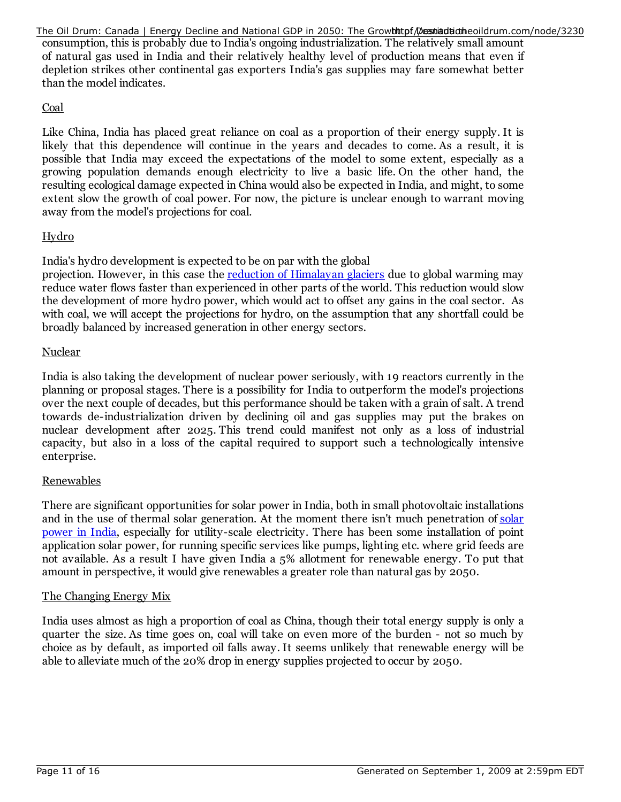consumption, this is probably due to India's ongoing industrialization. The relatively small amount of natural gas used in India and their relatively healthy level of production means that even if depletion strikes other continental gas exporters India's gas supplies may fare somewhat better than the model indicates. The Oil Drum: Canada | Energy Decline and National GDP in 2050: The Growhttpf Destiantiatheoildrum.com/node/3230

## Coal

Like China, India has placed great reliance on coal as a proportion of their energy supply. It is likely that this dependence will continue in the years and decades to come. As a result, it is possible that India may exceed the expectations of the model to some extent, especially as a growing population demands enough electricity to live a basic life. On the other hand, the resulting ecological damage expected in China would also be expected in India, and might, to some extent slow the growth of coal power. For now, the picture is unclear enough to warrant moving away from the model's projections for coal.

## Hydro

India's hydro development is expected to be on par with the global

projection. However, in this case the reduction of Himalayan glaciers due to global warming may reduce water flows faster than experienced in other parts of the world. This reduction would slow the development of more hydro power, which would act to offset any gains in the coal sector. As with coal, we will accept the projections for hydro, on the assumption that any shortfall could be broadly balanced by increased generation in other energy sectors.

## Nuclear

India is also taking the development of nuclear power seriously, with 19 reactors currently in the planning or proposal stages. There is a possibility for India to outperform the model's projections over the next couple of decades, but this performance should be taken with a grain of salt. A trend towards de-industrialization driven by declining oil and gas supplies may put the brakes on nuclear development after 2025. This trend could manifest not only as a loss of industrial capacity, but also in a loss of the capital required to support such a technologically intensive enterprise.

## Renewables

There are significant opportunities for solar power in India, both in small photovoltaic installations and in the use of thermal solar generation. At the moment there isn't much penetration of solar power in India, especially for utility-scale electricity. There has been some installation of point application solar power, for running specific services like pumps, lighting etc. where grid feeds are not available. As a result I have given India a 5% allotment for renewable energy. To put that amount in perspective, it would give renewables a greater role than natural gas by 2050.

## The Changing Energy Mix

India uses almost as high a proportion of coal as China, though their total energy supply is only a quarter the size. As time goes on, coal will take on even more of the burden - not so much by choice as by default, as imported oil falls away. It seems unlikely that renewable energy will be able to alleviate much of the 20% drop in energy supplies projected to occur by 2050.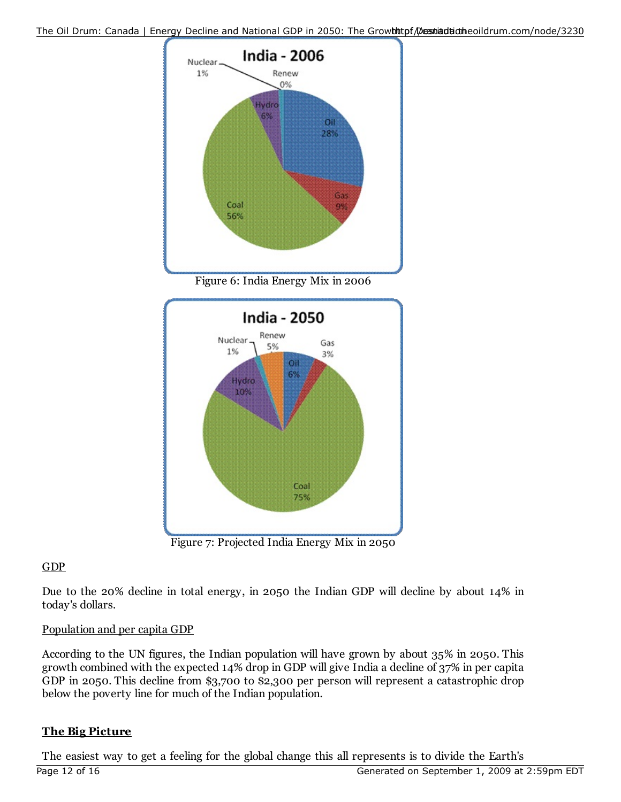



Figure 7: Projected India Energy Mix in 2050

## **GDP**

Due to the 20% decline in total energy, in 2050 the Indian GDP will decline by about 14% in today's dollars.

## Population and per capita GDP

According to the UN figures, the Indian population will have grown by about 35% in 2050. This growth combined with the expected 14% drop in GDP will give India a decline of 37% in per capita GDP in 2050. This decline from \$3,700 to \$2,300 per person will represent a catastrophic drop below the poverty line for much of the Indian population.

## **The Big Picture**

The easiest way to get a feeling for the global change this all represents is to divide the Earth's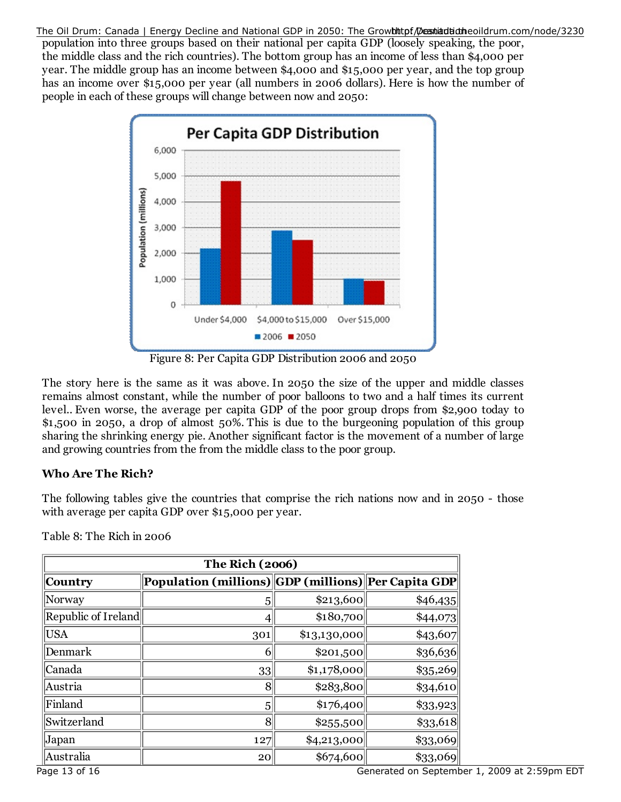population into three groups based on their national per capita GDP (loosely speaking, the poor, the middle class and the rich countries). The bottom group has an income of less than \$4,000 per year. The middle group has an income between \$4,000 and \$15,000 per year, and the top group has an income over \$15,000 per year (all numbers in 2006 dollars). Here is how the number of people in each of these groups will change between now and 2050: The Oil Drum: Canada | Energy Decline and National GDP in 2050: The Growhttpf Destiantiatheoildrum.com/node/3230



Figure 8: Per Capita GDP Distribution 2006 and 2050

The story here is the same as it was above. In 2050 the size of the upper and middle classes remains almost constant, while the number of poor balloons to two and a half times its current level.. Even worse, the average per capita GDP of the poor group drops from \$2,900 today to \$1,500 in 2050, a drop of almost 50%. This is due to the burgeoning population of this group sharing the shrinking energy pie. Another significant factor is the movement of a number of large and growing countries from the from the middle class to the poor group.

## **Who Are The Rich?**

The following tables give the countries that comprise the rich nations now and in 2050 - those with average per capita GDP over \$15,000 per year.

| <b>The Rich (2006)</b> |                                                       |              |            |  |  |  |  |
|------------------------|-------------------------------------------------------|--------------|------------|--|--|--|--|
| Country                | Population (millions)  GDP (millions)  Per Capita GDP |              |            |  |  |  |  |
| Norway                 | 5                                                     | \$213,600    | \$46,435   |  |  |  |  |
| Republic of Ireland    | 4                                                     | \$180,700    | \$44,073   |  |  |  |  |
| USA                    | 301                                                   | \$13,130,000 | \$43,607   |  |  |  |  |
| Denmark                | 6                                                     | \$201,500    | \$36,636   |  |  |  |  |
| Canada                 | $33$                                                  | \$1,178,000  | $\$35,269$ |  |  |  |  |
| Austria                | 8                                                     | \$283,800    | $\$34,610$ |  |  |  |  |
| Finland                | 5                                                     | \$176,400    | \$33,923   |  |  |  |  |
| Switzerland            | 8                                                     | \$255,500    | $\$33,618$ |  |  |  |  |
| Japan                  | 127                                                   | \$4,213,000  | \$33,069   |  |  |  |  |
| Australia              | 20                                                    | \$674,600    | \$33,069   |  |  |  |  |

Table 8: The Rich in 2006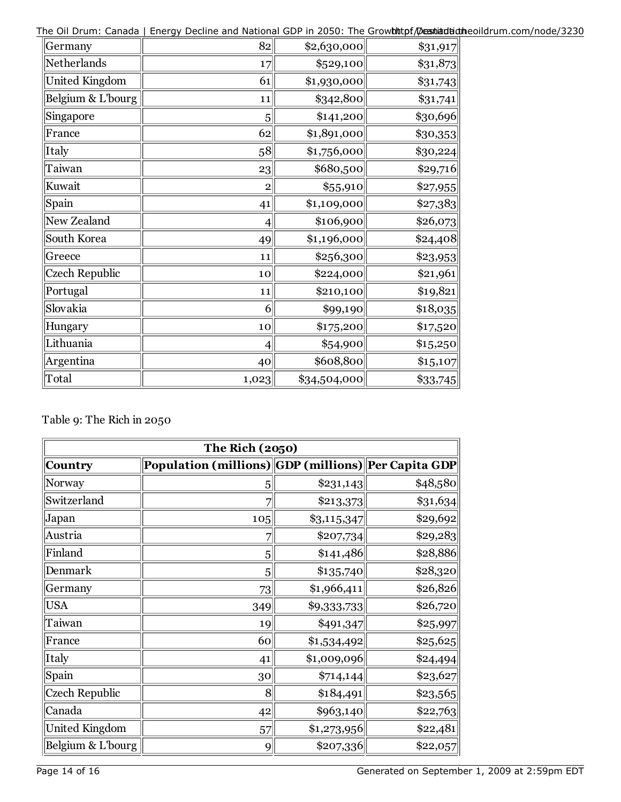The Oil Drum: Canada | Energy Decline and National GDP in 2050: The Growhttpf/Destiantiatheoildrum.com/node/3230

| Germany               | 82             | \$2,630,000  | $\$31,917$ |
|-----------------------|----------------|--------------|------------|
| Netherlands           | 17             | \$529,100    | $\$31,873$ |
| <b>United Kingdom</b> | 61             | \$1,930,000  | \$31,743   |
| Belgium & L'bourg     | 11             | \$342,800    | \$31,741   |
| Singapore             | 5              | \$141,200    | \$30,696   |
| France                | 62             | 1,891,000    | $\$30,353$ |
| Italy                 | 58             | \$1,756,000  | \$30,224   |
| Taiwan                | 23             | \$680,500    | \$29,716   |
| Kuwait                | $\overline{2}$ | \$55,910     | \$27,955   |
| Spain                 | 41             | \$1,109,000  | \$27,383   |
| New Zealand           | $\overline{4}$ | \$106,900    | \$26,073   |
| South Korea           | 49             | \$1,196,000  | \$24,408   |
| Greece                | 11             | \$256,300    | \$23,953   |
| <b>Czech Republic</b> | 10             | \$224,000    | \$21,961   |
| Portugal              | 11             | \$210,100    | \$19,821   |
| Slovakia              | 6              | \$99,190     | \$18,035   |
| Hungary               | 10             | \$175,200    | \$17,520   |
| Lithuania             | $\overline{4}$ | \$54,900     | \$15,250   |
| Argentina             | 40             | \$608,800    | \$15,107   |
| Total                 | 1,023          | \$34,504,000 | $\$33,745$ |

## Table 9: The Rich in 2050

| The Rich (2050)       |                                                       |               |          |  |  |  |  |
|-----------------------|-------------------------------------------------------|---------------|----------|--|--|--|--|
| Country               | Population (millions)  GDP (millions)  Per Capita GDP |               |          |  |  |  |  |
| Norway                | 5                                                     | \$231,143     | \$48,580 |  |  |  |  |
| Switzerland           | 7                                                     | \$213,373     | \$31,634 |  |  |  |  |
| Japan                 | 105                                                   | $\$3,115,347$ | \$29,692 |  |  |  |  |
| Austria               | 7                                                     | \$207,734     | \$29,283 |  |  |  |  |
| Finland               | 5                                                     | \$141,486     | \$28,886 |  |  |  |  |
| Denmark               | 5                                                     | \$135,740     | \$28,320 |  |  |  |  |
| Germany               | 73                                                    | \$1,966,411   | \$26,826 |  |  |  |  |
| <b>USA</b>            | 349                                                   | \$9,333,733   | \$26,720 |  |  |  |  |
| Taiwan                | 19                                                    | \$491,347     | \$25,997 |  |  |  |  |
| France                | 60                                                    | \$1,534,492   | \$25,625 |  |  |  |  |
| Italy                 | 41                                                    | \$1,009,096   | \$24,494 |  |  |  |  |
| Spain                 | 30 <sup>°</sup>                                       | \$714,144     | \$23,627 |  |  |  |  |
| Czech Republic        | 8                                                     | \$184,491     | \$23,565 |  |  |  |  |
| Canada                | 42                                                    | \$963,140     | \$22,763 |  |  |  |  |
| <b>United Kingdom</b> | 57                                                    | \$1,273,956   | \$22,481 |  |  |  |  |
| Belgium & L'bourg     | 9                                                     | \$207,336     | \$22,057 |  |  |  |  |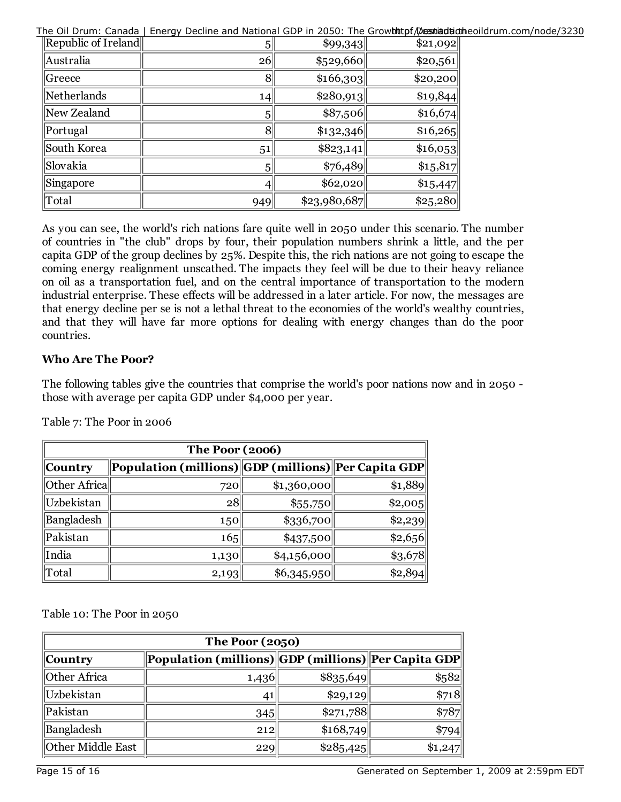The Oil Drum: Canada | Energy Decline and National GDP in 2050: The Growhttpf/Dessitaditidineoildrum.com/node/3230

| Republic of Ireland | 5 <sup>1</sup> | \$99,343     | \$21,092 |
|---------------------|----------------|--------------|----------|
| Australia           | 26             | \$529,660    | \$20,561 |
| Greece              | 8              | \$166,303    | \$20,200 |
| Netherlands         | 14             | \$280,913    | \$19,844 |
| New Zealand         | 5 <sup>1</sup> | \$87,506     | \$16,674 |
| Portugal            | 8              | \$132,346    | \$16,265 |
| South Korea         | 51             | \$823,141    | \$16,053 |
| Slovakia            | 5 <sup>2</sup> | \$76,489     | 15,817   |
| Singapore           | 41             | \$62,020     | \$15,447 |
| Total               | 949            | \$23,980,687 | \$25,280 |

As you can see, the world's rich nations fare quite well in 2050 under this scenario. The number of countries in "the club" drops by four, their population numbers shrink a little, and the per capita GDP of the group declines by 25%. Despite this, the rich nations are not going to escape the coming energy realignment unscathed. The impacts they feel will be due to their heavy reliance on oil as a transportation fuel, and on the central importance of transportation to the modern industrial enterprise. These effects will be addressed in a later article. For now, the messages are that energy decline per se is not a lethal threat to the economies of the world's wealthy countries, and that they will have far more options for dealing with energy changes than do the poor countries.

## **Who Are The Poor?**

The following tables give the countries that comprise the world's poor nations now and in 2050 those with average per capita GDP under \$4,000 per year.

| <b>The Poor (2006)</b> |                                                     |             |         |  |  |  |
|------------------------|-----------------------------------------------------|-------------|---------|--|--|--|
| Country                | Population (millions) GDP (millions) Per Capita GDP |             |         |  |  |  |
| Other Africa           | 720                                                 | \$1,360,000 | \$1,889 |  |  |  |
| Uzbekistan             | 28                                                  | \$55,750    | \$2,005 |  |  |  |
| Bangladesh             | 150                                                 | $\$336,700$ | \$2,239 |  |  |  |
| Pakistan               | 165                                                 | \$437,500   | \$2,656 |  |  |  |
| India                  | 1,130                                               | \$4,156,000 | \$3,678 |  |  |  |
| Total                  | 2,193                                               | \$6,345,950 | \$2,894 |  |  |  |

Table 7: The Poor in 2006

Table 10: The Poor in 2050

| <b>The Poor (2050)</b> |                                                     |           |         |  |  |
|------------------------|-----------------------------------------------------|-----------|---------|--|--|
| Country                | Population (millions) GDP (millions) Per Capita GDP |           |         |  |  |
| Other Africa           | 1,436                                               | \$835,649 | \$582   |  |  |
| Uzbekistan             | 41                                                  | \$29,129  | \$718   |  |  |
| Pakistan               | 345                                                 | \$271,788 | \$787   |  |  |
| Bangladesh             | 212                                                 | \$168,749 | \$794   |  |  |
| Other Middle East      | 229                                                 | \$285,425 | \$1,247 |  |  |